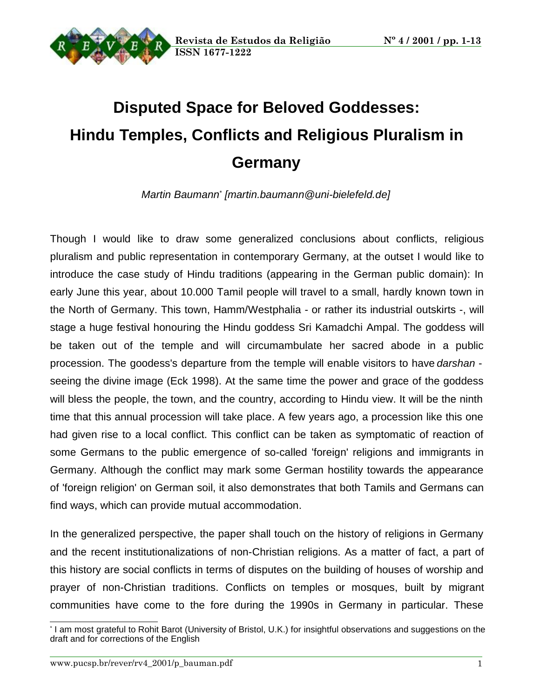

# **Disputed Space for Beloved Goddesses: Hindu Temples, Conflicts and Religious Pluralism in Germany**

Martin Baumann<sup>\*</sup> [martin.baumann@uni-bielefeld.de]

Though I would like to draw some generalized conclusions about conflicts, religious pluralism and public representation in contemporary Germany, at the outset I would like to introduce the case study of Hindu traditions (appearing in the German public domain): In early June this year, about 10.000 Tamil people will travel to a small, hardly known town in the North of Germany. This town, Hamm/Westphalia - or rather its industrial outskirts -, will stage a huge festival honouring the Hindu goddess Sri Kamadchi Ampal. The goddess will be taken out of the temple and will circumambulate her sacred abode in a public procession. The goodess's departure from the temple will enable visitors to have darshan seeing the divine image (Eck 1998). At the same time the power and grace of the goddess will bless the people, the town, and the country, according to Hindu view. It will be the ninth time that this annual procession will take place. A few years ago, a procession like this one had given rise to a local conflict. This conflict can be taken as symptomatic of reaction of some Germans to the public emergence of so-called 'foreign' religions and immigrants in Germany. Although the conflict may mark some German hostility towards the appearance of 'foreign religion' on German soil, it also demonstrates that both Tamils and Germans can find ways, which can provide mutual accommodation.

In the generalized perspective, the paper shall touch on the history of religions in Germany and the recent institutionalizations of non-Christian religions. As a matter of fact, a part of this history are social conflicts in terms of disputes on the building of houses of worship and prayer of non-Christian traditions. Conflicts on temples or mosques, built by migrant communities have come to the fore during the 1990s in Germany in particular. These

<sup>\*</sup> I am most grateful to Rohit Barot (University of Bristol, U.K.) for insightful observations and suggestions on the draft and for corrections of the English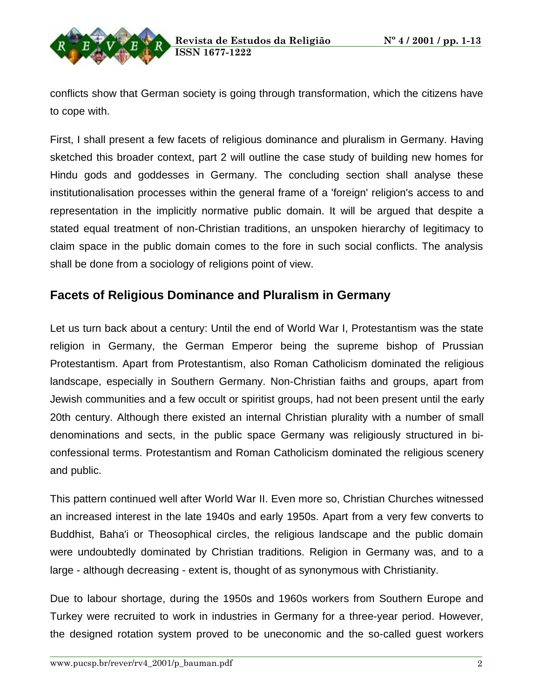

conflicts show that German society is going through transformation, which the citizens have to cope with.

First, I shall present a few facets of religious dominance and pluralism in Germany. Having sketched this broader context, part 2 will outline the case study of building new homes for Hindu gods and goddesses in Germany. The concluding section shall analyse these institutionalisation processes within the general frame of a 'foreign' religion's access to and representation in the implicitly normative public domain. It will be argued that despite a stated equal treatment of non-Christian traditions, an unspoken hierarchy of legitimacy to claim space in the public domain comes to the fore in such social conflicts. The analysis shall be done from a sociology of religions point of view.

## **Facets of Religious Dominance and Pluralism in Germany**

Let us turn back about a century: Until the end of World War I, Protestantism was the state religion in Germany, the German Emperor being the supreme bishop of Prussian Protestantism. Apart from Protestantism, also Roman Catholicism dominated the religious landscape, especially in Southern Germany. Non-Christian faiths and groups, apart from Jewish communities and a few occult or spiritist groups, had not been present until the early 20th century. Although there existed an internal Christian plurality with a number of small denominations and sects, in the public space Germany was religiously structured in biconfessional terms. Protestantism and Roman Catholicism dominated the religious scenery and public.

This pattern continued well after World War II. Even more so, Christian Churches witnessed an increased interest in the late 1940s and early 1950s. Apart from a very few converts to Buddhist, Baha'i or Theosophical circles, the religious landscape and the public domain were undoubtedly dominated by Christian traditions. Religion in Germany was, and to a large - although decreasing - extent is, thought of as synonymous with Christianity.

Due to labour shortage, during the 1950s and 1960s workers from Southern Europe and Turkey were recruited to work in industries in Germany for a three-year period. However, the designed rotation system proved to be uneconomic and the so-called guest workers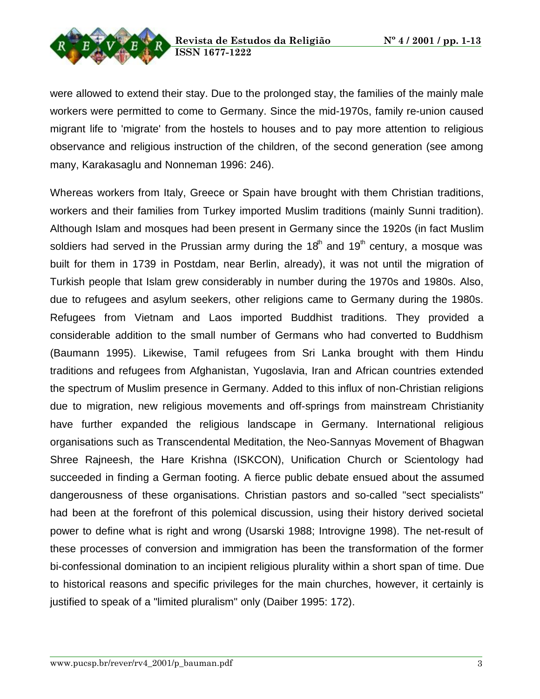

were allowed to extend their stay. Due to the prolonged stay, the families of the mainly male workers were permitted to come to Germany. Since the mid-1970s, family re-union caused migrant life to 'migrate' from the hostels to houses and to pay more attention to religious observance and religious instruction of the children, of the second generation (see among many, Karakasaglu and Nonneman 1996: 246).

Whereas workers from Italy, Greece or Spain have brought with them Christian traditions, workers and their families from Turkey imported Muslim traditions (mainly Sunni tradition). Although Islam and mosques had been present in Germany since the 1920s (in fact Muslim soldiers had served in the Prussian army during the 18<sup>th</sup> and 19<sup>th</sup> century, a mosque was built for them in 1739 in Postdam, near Berlin, already), it was not until the migration of Turkish people that Islam grew considerably in number during the 1970s and 1980s. Also, due to refugees and asylum seekers, other religions came to Germany during the 1980s. Refugees from Vietnam and Laos imported Buddhist traditions. They provided a considerable addition to the small number of Germans who had converted to Buddhism (Baumann 1995). Likewise, Tamil refugees from Sri Lanka brought with them Hindu traditions and refugees from Afghanistan, Yugoslavia, Iran and African countries extended the spectrum of Muslim presence in Germany. Added to this influx of non-Christian religions due to migration, new religious movements and off-springs from mainstream Christianity have further expanded the religious landscape in Germany. International religious organisations such as Transcendental Meditation, the Neo-Sannyas Movement of Bhagwan Shree Rajneesh, the Hare Krishna (ISKCON), Unification Church or Scientology had succeeded in finding a German footing. A fierce public debate ensued about the assumed dangerousness of these organisations. Christian pastors and so-called "sect specialists" had been at the forefront of this polemical discussion, using their history derived societal power to define what is right and wrong (Usarski 1988; Introvigne 1998). The net-result of these processes of conversion and immigration has been the transformation of the former bi-confessional domination to an incipient religious plurality within a short span of time. Due to historical reasons and specific privileges for the main churches, however, it certainly is justified to speak of a "limited pluralism" only (Daiber 1995: 172).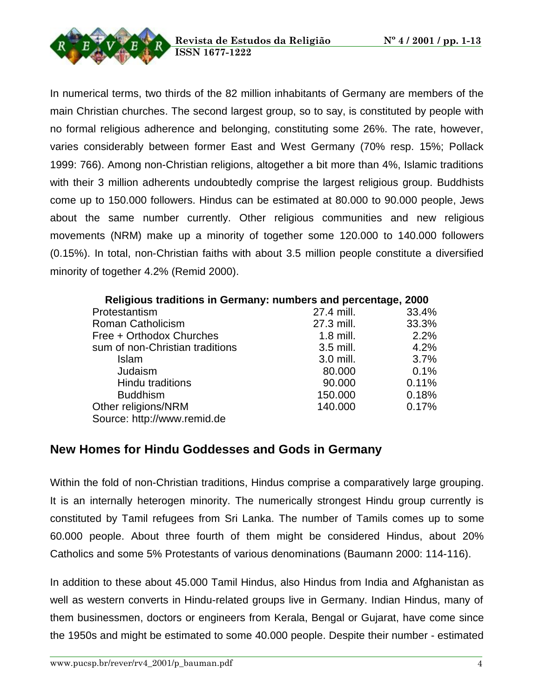

In numerical terms, two thirds of the 82 million inhabitants of Germany are members of the main Christian churches. The second largest group, so to say, is constituted by people with no formal religious adherence and belonging, constituting some 26%. The rate, however, varies considerably between former East and West Germany (70% resp. 15%; Pollack 1999: 766). Among non-Christian religions, altogether a bit more than 4%, Islamic traditions with their 3 million adherents undoubtedly comprise the largest religious group. Buddhists come up to 150.000 followers. Hindus can be estimated at 80.000 to 90.000 people, Jews about the same number currently. Other religious communities and new religious movements (NRM) make up a minority of together some 120.000 to 140.000 followers (0.15%). In total, non-Christian faiths with about 3.5 million people constitute a diversified minority of together 4.2% (Remid 2000).

|  | Religious traditions in Germany: numbers and percentage, 2000 |  |
|--|---------------------------------------------------------------|--|
|--|---------------------------------------------------------------|--|

| Protestantism                   | 27.4 mill.  | 33.4% |
|---------------------------------|-------------|-------|
| Roman Catholicism               | 27.3 mill.  | 33.3% |
| Free + Orthodox Churches        | $1.8$ mill. | 2.2%  |
| sum of non-Christian traditions | 3.5 mill.   | 4.2%  |
| Islam                           | 3.0 mill.   | 3.7%  |
| Judaism                         | 80.000      | 0.1%  |
| <b>Hindu traditions</b>         | 90.000      | 0.11% |
| <b>Buddhism</b>                 | 150.000     | 0.18% |
| Other religions/NRM             | 140.000     | 0.17% |
| Source: http://www.remid.de     |             |       |
|                                 |             |       |

## **New Homes for Hindu Goddesses and Gods in Germany**

Within the fold of non-Christian traditions, Hindus comprise a comparatively large grouping. It is an internally heterogen minority. The numerically strongest Hindu group currently is constituted by Tamil refugees from Sri Lanka. The number of Tamils comes up to some 60.000 people. About three fourth of them might be considered Hindus, about 20% Catholics and some 5% Protestants of various denominations (Baumann 2000: 114-116).

In addition to these about 45.000 Tamil Hindus, also Hindus from India and Afghanistan as well as western converts in Hindu-related groups live in Germany. Indian Hindus, many of them businessmen, doctors or engineers from Kerala, Bengal or Gujarat, have come since the 1950s and might be estimated to some 40.000 people. Despite their number - estimated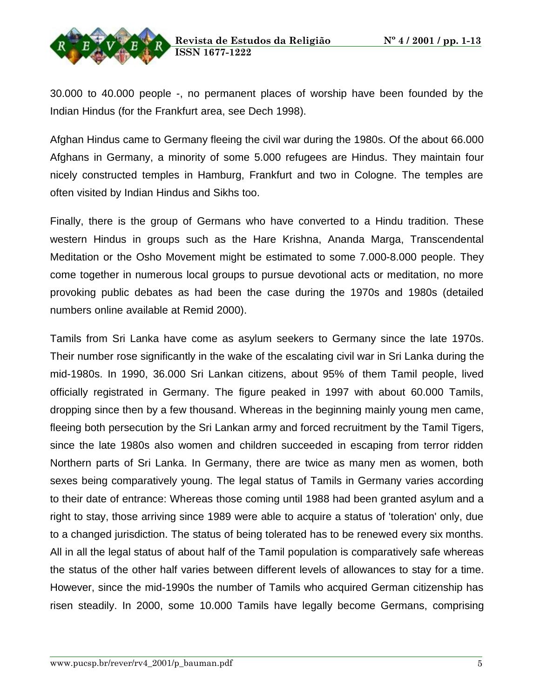

30.000 to 40.000 people -, no permanent places of worship have been founded by the Indian Hindus (for the Frankfurt area, see Dech 1998).

Afghan Hindus came to Germany fleeing the civil war during the 1980s. Of the about 66.000 Afghans in Germany, a minority of some 5.000 refugees are Hindus. They maintain four nicely constructed temples in Hamburg, Frankfurt and two in Cologne. The temples are often visited by Indian Hindus and Sikhs too.

Finally, there is the group of Germans who have converted to a Hindu tradition. These western Hindus in groups such as the Hare Krishna, Ananda Marga, Transcendental Meditation or the Osho Movement might be estimated to some 7.000-8.000 people. They come together in numerous local groups to pursue devotional acts or meditation, no more provoking public debates as had been the case during the 1970s and 1980s (detailed numbers online available at Remid 2000).

Tamils from Sri Lanka have come as asylum seekers to Germany since the late 1970s. Their number rose significantly in the wake of the escalating civil war in Sri Lanka during the mid-1980s. In 1990, 36.000 Sri Lankan citizens, about 95% of them Tamil people, lived officially registrated in Germany. The figure peaked in 1997 with about 60.000 Tamils, dropping since then by a few thousand. Whereas in the beginning mainly young men came, fleeing both persecution by the Sri Lankan army and forced recruitment by the Tamil Tigers, since the late 1980s also women and children succeeded in escaping from terror ridden Northern parts of Sri Lanka. In Germany, there are twice as many men as women, both sexes being comparatively young. The legal status of Tamils in Germany varies according to their date of entrance: Whereas those coming until 1988 had been granted asylum and a right to stay, those arriving since 1989 were able to acquire a status of 'toleration' only, due to a changed jurisdiction. The status of being tolerated has to be renewed every six months. All in all the legal status of about half of the Tamil population is comparatively safe whereas the status of the other half varies between different levels of allowances to stay for a time. However, since the mid-1990s the number of Tamils who acquired German citizenship has risen steadily. In 2000, some 10.000 Tamils have legally become Germans, comprising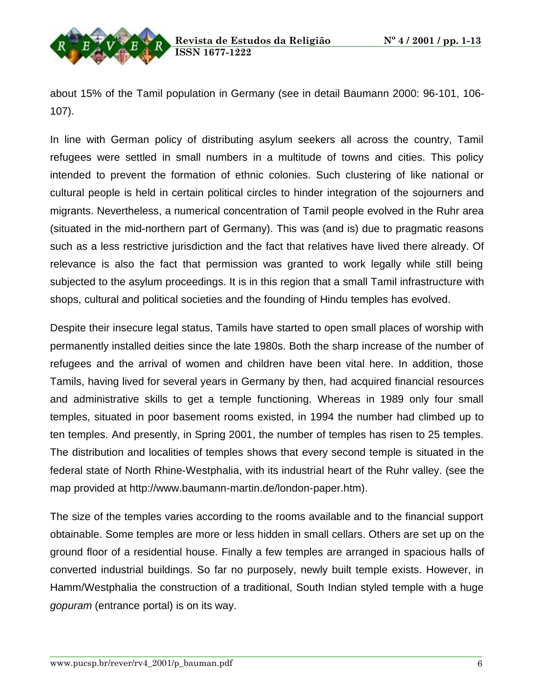about 15% of the Tamil population in Germany (see in detail Baumann 2000: 96-101, 106- 107).

In line with German policy of distributing asylum seekers all across the country, Tamil refugees were settled in small numbers in a multitude of towns and cities. This policy intended to prevent the formation of ethnic colonies. Such clustering of like national or cultural people is held in certain political circles to hinder integration of the sojourners and migrants. Nevertheless, a numerical concentration of Tamil people evolved in the Ruhr area (situated in the mid-northern part of Germany). This was (and is) due to pragmatic reasons such as a less restrictive jurisdiction and the fact that relatives have lived there already. Of relevance is also the fact that permission was granted to work legally while still being subjected to the asylum proceedings. It is in this region that a small Tamil infrastructure with shops, cultural and political societies and the founding of Hindu temples has evolved.

Despite their insecure legal status, Tamils have started to open small places of worship with permanently installed deities since the late 1980s. Both the sharp increase of the number of refugees and the arrival of women and children have been vital here. In addition, those Tamils, having lived for several years in Germany by then, had acquired financial resources and administrative skills to get a temple functioning. Whereas in 1989 only four small temples, situated in poor basement rooms existed, in 1994 the number had climbed up to ten temples. And presently, in Spring 2001, the number of temples has risen to 25 temples. The distribution and localities of temples shows that every second temple is situated in the federal state of North Rhine-Westphalia, with its industrial heart of the Ruhr valley. (see the map provided at http://www.baumann-martin.de/london-paper.htm).

The size of the temples varies according to the rooms available and to the financial support obtainable. Some temples are more or less hidden in small cellars. Others are set up on the ground floor of a residential house. Finally a few temples are arranged in spacious halls of converted industrial buildings. So far no purposely, newly built temple exists. However, in Hamm/Westphalia the construction of a traditional, South Indian styled temple with a huge gopuram (entrance portal) is on its way.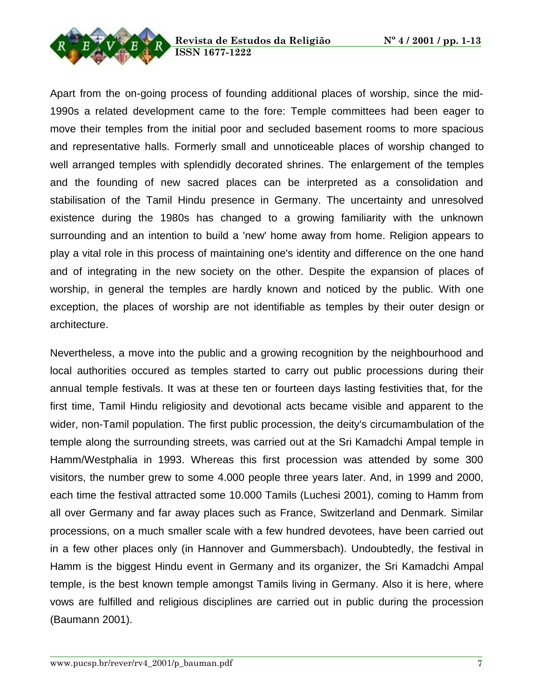



Apart from the on-going process of founding additional places of worship, since the mid-1990s a related development came to the fore: Temple committees had been eager to move their temples from the initial poor and secluded basement rooms to more spacious and representative halls. Formerly small and unnoticeable places of worship changed to well arranged temples with splendidly decorated shrines. The enlargement of the temples and the founding of new sacred places can be interpreted as a consolidation and stabilisation of the Tamil Hindu presence in Germany. The uncertainty and unresolved existence during the 1980s has changed to a growing familiarity with the unknown surrounding and an intention to build a 'new' home away from home. Religion appears to play a vital role in this process of maintaining one's identity and difference on the one hand and of integrating in the new society on the other. Despite the expansion of places of worship, in general the temples are hardly known and noticed by the public. With one exception, the places of worship are not identifiable as temples by their outer design or architecture.

Nevertheless, a move into the public and a growing recognition by the neighbourhood and local authorities occured as temples started to carry out public processions during their annual temple festivals. It was at these ten or fourteen days lasting festivities that, for the first time, Tamil Hindu religiosity and devotional acts became visible and apparent to the wider, non-Tamil population. The first public procession, the deity's circumambulation of the temple along the surrounding streets, was carried out at the Sri Kamadchi Ampal temple in Hamm/Westphalia in 1993. Whereas this first procession was attended by some 300 visitors, the number grew to some 4.000 people three years later. And, in 1999 and 2000, each time the festival attracted some 10.000 Tamils (Luchesi 2001), coming to Hamm from all over Germany and far away places such as France, Switzerland and Denmark. Similar processions, on a much smaller scale with a few hundred devotees, have been carried out in a few other places only (in Hannover and Gummersbach). Undoubtedly, the festival in Hamm is the biggest Hindu event in Germany and its organizer, the Sri Kamadchi Ampal temple, is the best known temple amongst Tamils living in Germany. Also it is here, where vows are fulfilled and religious disciplines are carried out in public during the procession (Baumann 2001).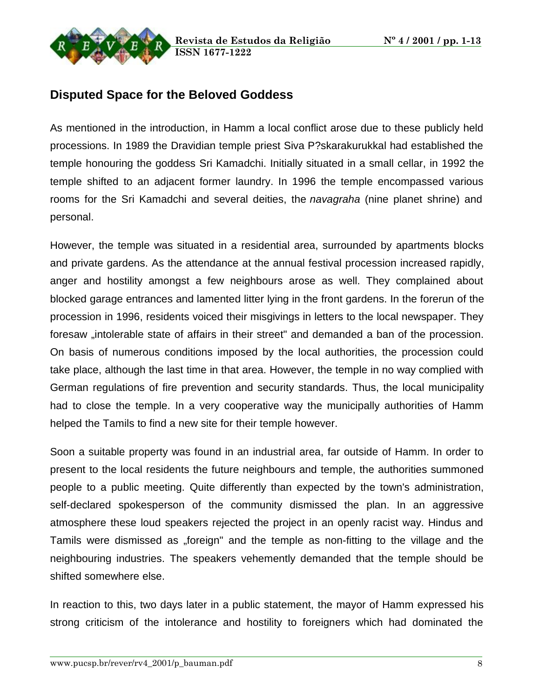

## **Disputed Space for the Beloved Goddess**

As mentioned in the introduction, in Hamm a local conflict arose due to these publicly held processions. In 1989 the Dravidian temple priest Siva P?skarakurukkal had established the temple honouring the goddess Sri Kamadchi. Initially situated in a small cellar, in 1992 the temple shifted to an adjacent former laundry. In 1996 the temple encompassed various rooms for the Sri Kamadchi and several deities, the *navagraha* (nine planet shrine) and personal.

However, the temple was situated in a residential area, surrounded by apartments blocks and private gardens. As the attendance at the annual festival procession increased rapidly, anger and hostility amongst a few neighbours arose as well. They complained about blocked garage entrances and lamented litter lying in the front gardens. In the forerun of the procession in 1996, residents voiced their misgivings in letters to the local newspaper. They foresaw "intolerable state of affairs in their street" and demanded a ban of the procession. On basis of numerous conditions imposed by the local authorities, the procession could take place, although the last time in that area. However, the temple in no way complied with German regulations of fire prevention and security standards. Thus, the local municipality had to close the temple. In a very cooperative way the municipally authorities of Hamm helped the Tamils to find a new site for their temple however.

Soon a suitable property was found in an industrial area, far outside of Hamm. In order to present to the local residents the future neighbours and temple, the authorities summoned people to a public meeting. Quite differently than expected by the town's administration, self-declared spokesperson of the community dismissed the plan. In an aggressive atmosphere these loud speakers rejected the project in an openly racist way. Hindus and Tamils were dismissed as "foreign" and the temple as non-fitting to the village and the neighbouring industries. The speakers vehemently demanded that the temple should be shifted somewhere else.

In reaction to this, two days later in a public statement, the mayor of Hamm expressed his strong criticism of the intolerance and hostility to foreigners which had dominated the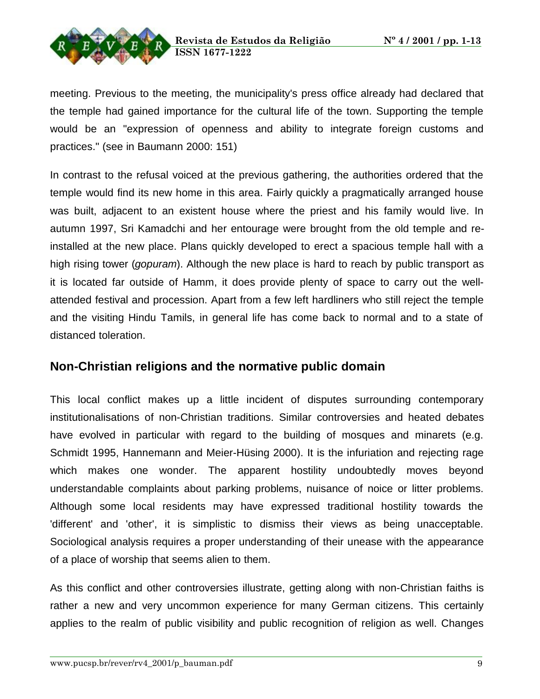

meeting. Previous to the meeting, the municipality's press office already had declared that the temple had gained importance for the cultural life of the town. Supporting the temple would be an "expression of openness and ability to integrate foreign customs and practices." (see in Baumann 2000: 151)

In contrast to the refusal voiced at the previous gathering, the authorities ordered that the temple would find its new home in this area. Fairly quickly a pragmatically arranged house was built, adjacent to an existent house where the priest and his family would live. In autumn 1997, Sri Kamadchi and her entourage were brought from the old temple and reinstalled at the new place. Plans quickly developed to erect a spacious temple hall with a high rising tower (*gopuram*). Although the new place is hard to reach by public transport as it is located far outside of Hamm, it does provide plenty of space to carry out the wellattended festival and procession. Apart from a few left hardliners who still reject the temple and the visiting Hindu Tamils, in general life has come back to normal and to a state of distanced toleration.

## **Non-Christian religions and the normative public domain**

This local conflict makes up a little incident of disputes surrounding contemporary institutionalisations of non-Christian traditions. Similar controversies and heated debates have evolved in particular with regard to the building of mosques and minarets (e.g. Schmidt 1995, Hannemann and Meier-Hüsing 2000). It is the infuriation and rejecting rage which makes one wonder. The apparent hostility undoubtedly moves beyond understandable complaints about parking problems, nuisance of noice or litter problems. Although some local residents may have expressed traditional hostility towards the 'different' and 'other', it is simplistic to dismiss their views as being unacceptable. Sociological analysis requires a proper understanding of their unease with the appearance of a place of worship that seems alien to them.

As this conflict and other controversies illustrate, getting along with non-Christian faiths is rather a new and very uncommon experience for many German citizens. This certainly applies to the realm of public visibility and public recognition of religion as well. Changes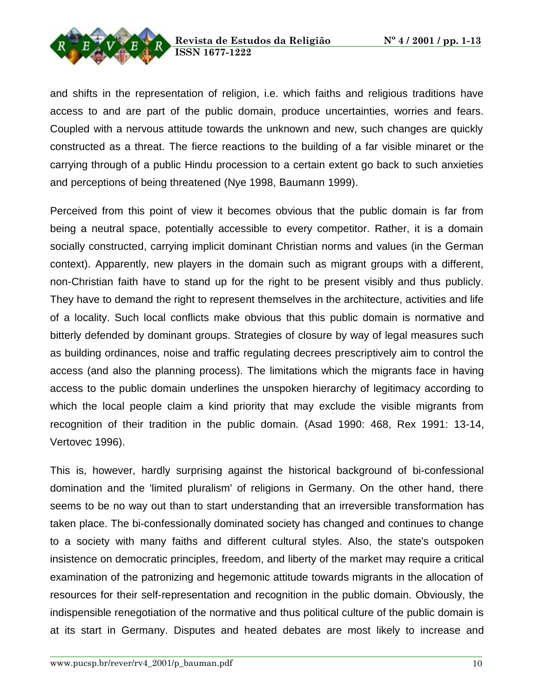



and shifts in the representation of religion, i.e. which faiths and religious traditions have access to and are part of the public domain, produce uncertainties, worries and fears. Coupled with a nervous attitude towards the unknown and new, such changes are quickly constructed as a threat. The fierce reactions to the building of a far visible minaret or the carrying through of a public Hindu procession to a certain extent go back to such anxieties and perceptions of being threatened (Nye 1998, Baumann 1999).

Perceived from this point of view it becomes obvious that the public domain is far from being a neutral space, potentially accessible to every competitor. Rather, it is a domain socially constructed, carrying implicit dominant Christian norms and values (in the German context). Apparently, new players in the domain such as migrant groups with a different, non-Christian faith have to stand up for the right to be present visibly and thus publicly. They have to demand the right to represent themselves in the architecture, activities and life of a locality. Such local conflicts make obvious that this public domain is normative and bitterly defended by dominant groups. Strategies of closure by way of legal measures such as building ordinances, noise and traffic regulating decrees prescriptively aim to control the access (and also the planning process). The limitations which the migrants face in having access to the public domain underlines the unspoken hierarchy of legitimacy according to which the local people claim a kind priority that may exclude the visible migrants from recognition of their tradition in the public domain. (Asad 1990: 468, Rex 1991: 13-14, Vertovec 1996).

This is, however, hardly surprising against the historical background of bi-confessional domination and the 'limited pluralism' of religions in Germany. On the other hand, there seems to be no way out than to start understanding that an irreversible transformation has taken place. The bi-confessionally dominated society has changed and continues to change to a society with many faiths and different cultural styles. Also, the state's outspoken insistence on democratic principles, freedom, and liberty of the market may require a critical examination of the patronizing and hegemonic attitude towards migrants in the allocation of resources for their self-representation and recognition in the public domain. Obviously, the indispensible renegotiation of the normative and thus political culture of the public domain is at its start in Germany. Disputes and heated debates are most likely to increase and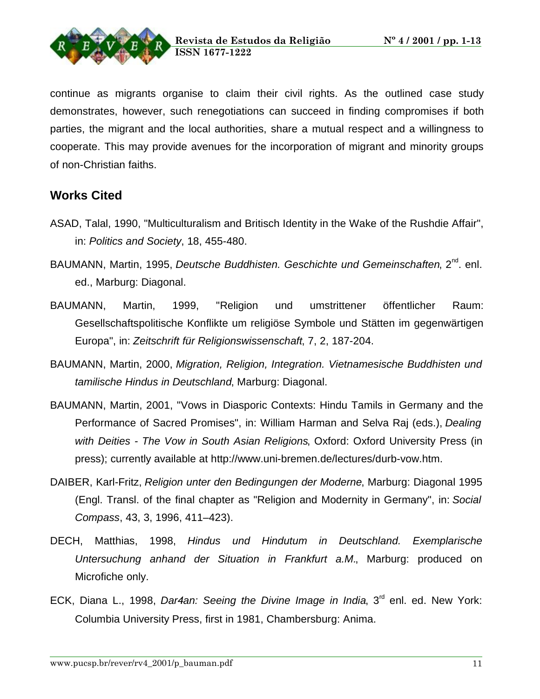

continue as migrants organise to claim their civil rights. As the outlined case study demonstrates, however, such renegotiations can succeed in finding compromises if both parties, the migrant and the local authorities, share a mutual respect and a willingness to cooperate. This may provide avenues for the incorporation of migrant and minority groups of non-Christian faiths.

## **Works Cited**

- ASAD, Talal, 1990, "Multiculturalism and Britisch Identity in the Wake of the Rushdie Affair", in: Politics and Society, 18, 455-480.
- BAUMANN, Martin, 1995, Deutsche Buddhisten. Geschichte und Gemeinschaften, 2<sup>nd</sup>. enl. ed., Marburg: Diagonal.
- BAUMANN, Martin, 1999, "Religion und umstrittener öffentlicher Raum: Gesellschaftspolitische Konflikte um religiöse Symbole und Stätten im gegenwärtigen Europa", in: Zeitschrift für Religionswissenschaft, 7, 2, 187-204.
- BAUMANN, Martin, 2000, Migration, Religion, Integration. Vietnamesische Buddhisten und tamilische Hindus in Deutschland, Marburg: Diagonal.
- BAUMANN, Martin, 2001, "Vows in Diasporic Contexts: Hindu Tamils in Germany and the Performance of Sacred Promises", in: William Harman and Selva Raj (eds.), Dealing with Deities - The Vow in South Asian Religions, Oxford: Oxford University Press (in press); currently available at http://www.uni-bremen.de/lectures/durb-vow.htm.
- DAIBER, Karl-Fritz, Religion unter den Bedingungen der Moderne, Marburg: Diagonal 1995 (Engl. Transl. of the final chapter as "Religion and Modernity in Germany", in: Social Compass, 43, 3, 1996, 411–423).
- DECH, Matthias, 1998, Hindus und Hindutum in Deutschland. Exemplarische Untersuchung anhand der Situation in Frankfurt a.M., Marburg: produced on Microfiche only.
- ECK, Diana L., 1998, *Dar4an: Seeing the Divine Image in India*, 3<sup>rd</sup> enl. ed. New York: Columbia University Press, first in 1981, Chambersburg: Anima.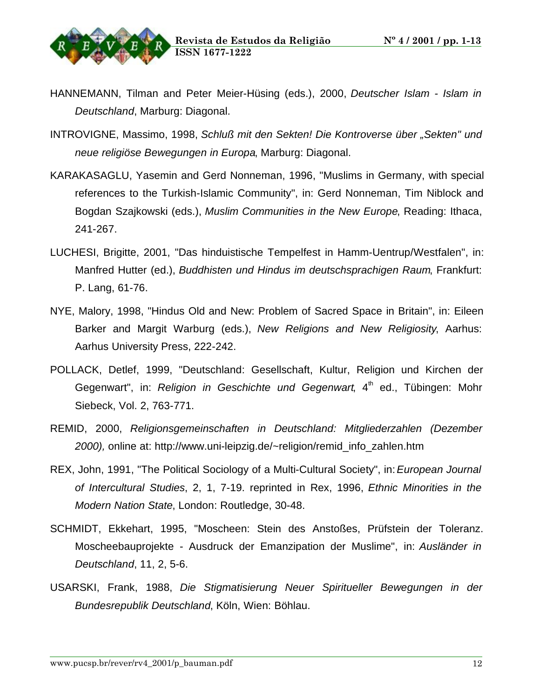

- HANNEMANN, Tilman and Peter Meier-Hüsing (eds.), 2000, Deutscher Islam Islam in Deutschland, Marburg: Diagonal.
- INTROVIGNE, Massimo, 1998, Schluß mit den Sekten! Die Kontroverse über "Sekten" und neue religiöse Bewegungen in Europa, Marburg: Diagonal.
- KARAKASAGLU, Yasemin and Gerd Nonneman, 1996, "Muslims in Germany, with special references to the Turkish-Islamic Community", in: Gerd Nonneman, Tim Niblock and Bogdan Szajkowski (eds.), Muslim Communities in the New Europe, Reading: Ithaca, 241-267.
- LUCHESI, Brigitte, 2001, "Das hinduistische Tempelfest in Hamm-Uentrup/Westfalen", in: Manfred Hutter (ed.), Buddhisten und Hindus im deutschsprachigen Raum, Frankfurt: P. Lang, 61-76.
- NYE, Malory, 1998, "Hindus Old and New: Problem of Sacred Space in Britain", in: Eileen Barker and Margit Warburg (eds.), New Religions and New Religiosity, Aarhus: Aarhus University Press, 222-242.
- POLLACK, Detlef, 1999, "Deutschland: Gesellschaft, Kultur, Religion und Kirchen der Gegenwart", in: Religion in Geschichte und Gegenwart, 4<sup>th</sup> ed., Tübingen: Mohr Siebeck, Vol. 2, 763-771.
- REMID, 2000, Religionsgemeinschaften in Deutschland: Mitgliederzahlen (Dezember 2000), online at: http://www.uni-leipzig.de/~religion/remid\_info\_zahlen.htm
- REX, John, 1991, "The Political Sociology of a Multi-Cultural Society", in: European Journal of Intercultural Studies, 2, 1, 7-19. reprinted in Rex, 1996, Ethnic Minorities in the Modern Nation State, London: Routledge, 30-48.
- SCHMIDT, Ekkehart, 1995, "Moscheen: Stein des Anstoßes, Prüfstein der Toleranz. Moscheebauprojekte - Ausdruck der Emanzipation der Muslime", in: Ausländer in Deutschland, 11, 2, 5-6.
- USARSKI, Frank, 1988, Die Stigmatisierung Neuer Spiritueller Bewegungen in der Bundesrepublik Deutschland, Köln, Wien: Böhlau.